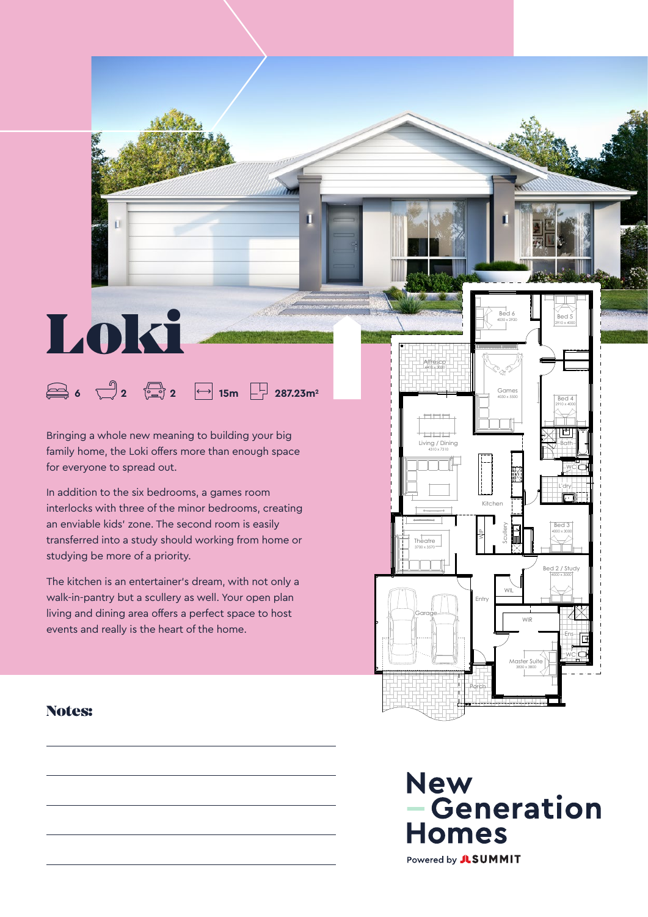Bringing a whole new meaning to building your big family home, the Loki offers more than enough space for everyone to spread out.

**6 2 2 15m 287.23m2**

Loki

In addition to the six bedrooms, a games room interlocks with three of the minor bedrooms, creating an enviable kids' zone. The second room is easily transferred into a study should working from home or studying be more of a priority.

The kitchen is an entertainer's dream, with not only a walk-in-pantry but a scullery as well. Your open plan living and dining area offers a perfect space to host events and really is the heart of the home.

#### 2910 x 4000  $\Box$  $\Box$ Living / Dining 4310 x 7310 Bath WC L'dry Kitchen yrBed 3  $\triangleq$  $\mathfrak{a}$ 4000 x 3000 Theatre ucSW3700 x 3570 Bed 2 / Study 4000 x 3000 WIL Entry Garage WIR Ens WC Master Suite 3830 x 3800 Porch **Gutter Hidden**

Games 4030 x 5500

Bed 6 4030 x 2920

Bed 4

Bed 5 2910 x 4000

Alfresco 4400 x 3000

П

#### Notes: